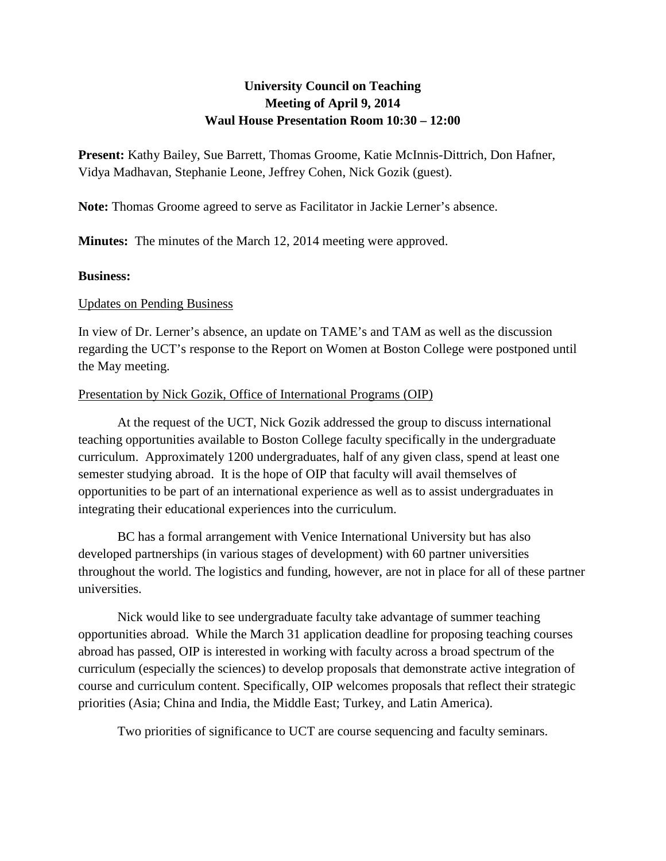# **University Council on Teaching Meeting of April 9, 2014 Waul House Presentation Room 10:30 – 12:00**

**Present:** Kathy Bailey, Sue Barrett, Thomas Groome, Katie McInnis-Dittrich, Don Hafner, Vidya Madhavan, Stephanie Leone, Jeffrey Cohen, Nick Gozik (guest).

**Note:** Thomas Groome agreed to serve as Facilitator in Jackie Lerner's absence.

**Minutes:** The minutes of the March 12, 2014 meeting were approved.

#### **Business:**

#### Updates on Pending Business

In view of Dr. Lerner's absence, an update on TAME's and TAM as well as the discussion regarding the UCT's response to the Report on Women at Boston College were postponed until the May meeting.

### Presentation by Nick Gozik, Office of International Programs (OIP)

At the request of the UCT, Nick Gozik addressed the group to discuss international teaching opportunities available to Boston College faculty specifically in the undergraduate curriculum. Approximately 1200 undergraduates, half of any given class, spend at least one semester studying abroad. It is the hope of OIP that faculty will avail themselves of opportunities to be part of an international experience as well as to assist undergraduates in integrating their educational experiences into the curriculum.

BC has a formal arrangement with Venice International University but has also developed partnerships (in various stages of development) with 60 partner universities throughout the world. The logistics and funding, however, are not in place for all of these partner universities.

Nick would like to see undergraduate faculty take advantage of summer teaching opportunities abroad. While the March 31 application deadline for proposing teaching courses abroad has passed, OIP is interested in working with faculty across a broad spectrum of the curriculum (especially the sciences) to develop proposals that demonstrate active integration of course and curriculum content. Specifically, OIP welcomes proposals that reflect their strategic priorities (Asia; China and India, the Middle East; Turkey, and Latin America).

Two priorities of significance to UCT are course sequencing and faculty seminars.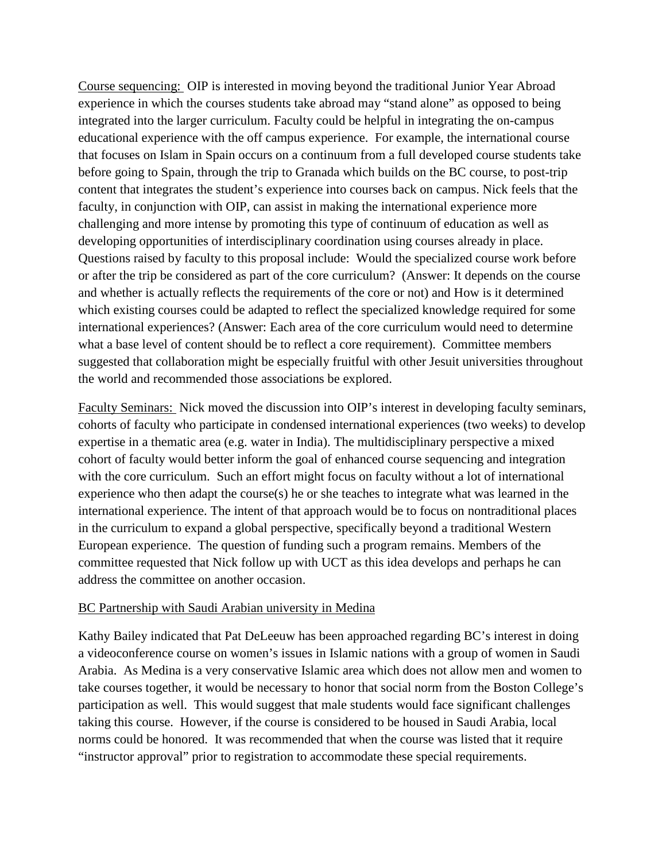Course sequencing: OIP is interested in moving beyond the traditional Junior Year Abroad experience in which the courses students take abroad may "stand alone" as opposed to being integrated into the larger curriculum. Faculty could be helpful in integrating the on-campus educational experience with the off campus experience. For example, the international course that focuses on Islam in Spain occurs on a continuum from a full developed course students take before going to Spain, through the trip to Granada which builds on the BC course, to post-trip content that integrates the student's experience into courses back on campus. Nick feels that the faculty, in conjunction with OIP, can assist in making the international experience more challenging and more intense by promoting this type of continuum of education as well as developing opportunities of interdisciplinary coordination using courses already in place. Questions raised by faculty to this proposal include: Would the specialized course work before or after the trip be considered as part of the core curriculum? (Answer: It depends on the course and whether is actually reflects the requirements of the core or not) and How is it determined which existing courses could be adapted to reflect the specialized knowledge required for some international experiences? (Answer: Each area of the core curriculum would need to determine what a base level of content should be to reflect a core requirement). Committee members suggested that collaboration might be especially fruitful with other Jesuit universities throughout the world and recommended those associations be explored.

Faculty Seminars: Nick moved the discussion into OIP's interest in developing faculty seminars, cohorts of faculty who participate in condensed international experiences (two weeks) to develop expertise in a thematic area (e.g. water in India). The multidisciplinary perspective a mixed cohort of faculty would better inform the goal of enhanced course sequencing and integration with the core curriculum. Such an effort might focus on faculty without a lot of international experience who then adapt the course(s) he or she teaches to integrate what was learned in the international experience. The intent of that approach would be to focus on nontraditional places in the curriculum to expand a global perspective, specifically beyond a traditional Western European experience. The question of funding such a program remains. Members of the committee requested that Nick follow up with UCT as this idea develops and perhaps he can address the committee on another occasion.

## BC Partnership with Saudi Arabian university in Medina

Kathy Bailey indicated that Pat DeLeeuw has been approached regarding BC's interest in doing a videoconference course on women's issues in Islamic nations with a group of women in Saudi Arabia. As Medina is a very conservative Islamic area which does not allow men and women to take courses together, it would be necessary to honor that social norm from the Boston College's participation as well. This would suggest that male students would face significant challenges taking this course. However, if the course is considered to be housed in Saudi Arabia, local norms could be honored. It was recommended that when the course was listed that it require "instructor approval" prior to registration to accommodate these special requirements.